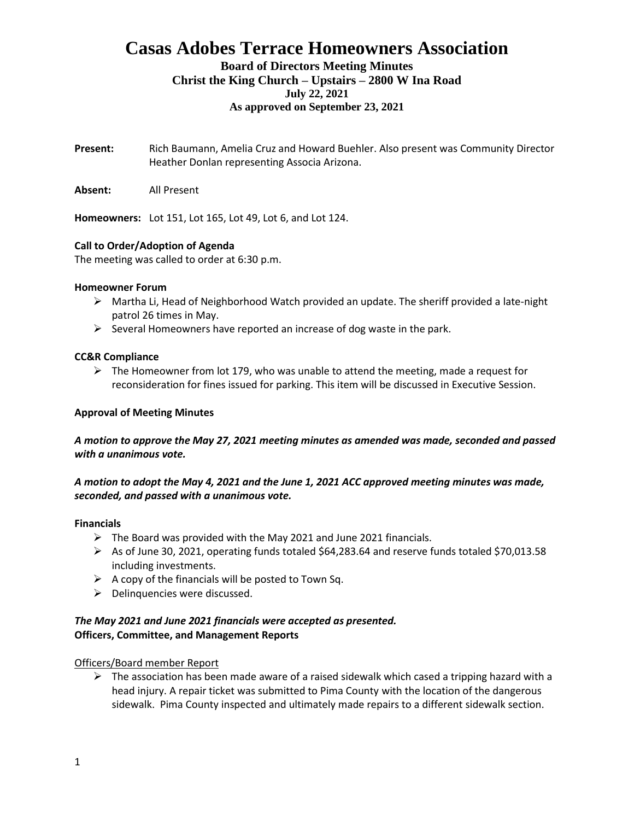# **Casas Adobes Terrace Homeowners Association**

### **Board of Directors Meeting Minutes Christ the King Church – Upstairs – 2800 W Ina Road July 22, 2021 As approved on September 23, 2021**

**Present:** Rich Baumann, Amelia Cruz and Howard Buehler. Also present was Community Director Heather Donlan representing Associa Arizona.

**Absent:** All Present

**Homeowners:** Lot 151, Lot 165, Lot 49, Lot 6, and Lot 124.

### **Call to Order/Adoption of Agenda**

The meeting was called to order at 6:30 p.m.

### **Homeowner Forum**

- ➢ Martha Li, Head of Neighborhood Watch provided an update. The sheriff provided a late-night patrol 26 times in May.
- $\triangleright$  Several Homeowners have reported an increase of dog waste in the park.

### **CC&R Compliance**

 $\triangleright$  The Homeowner from lot 179, who was unable to attend the meeting, made a request for reconsideration for fines issued for parking. This item will be discussed in Executive Session.

### **Approval of Meeting Minutes**

*A motion to approve the May 27, 2021 meeting minutes as amended was made, seconded and passed with a unanimous vote.*

### *A motion to adopt the May 4, 2021 and the June 1, 2021 ACC approved meeting minutes was made, seconded, and passed with a unanimous vote.*

### **Financials**

- $\triangleright$  The Board was provided with the May 2021 and June 2021 financials.
- $\triangleright$  As of June 30, 2021, operating funds totaled \$64,283.64 and reserve funds totaled \$70,013.58 including investments.
- $\triangleright$  A copy of the financials will be posted to Town Sq.
- $\triangleright$  Delinquencies were discussed.

### *The May 2021 and June 2021 financials were accepted as presented.* **Officers, Committee, and Management Reports**

### Officers/Board member Report

 $\triangleright$  The association has been made aware of a raised sidewalk which cased a tripping hazard with a head injury. A repair ticket was submitted to Pima County with the location of the dangerous sidewalk. Pima County inspected and ultimately made repairs to a different sidewalk section.